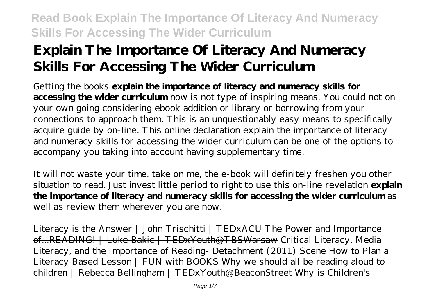# **Explain The Importance Of Literacy And Numeracy Skills For Accessing The Wider Curriculum**

Getting the books **explain the importance of literacy and numeracy skills for accessing the wider curriculum** now is not type of inspiring means. You could not on your own going considering ebook addition or library or borrowing from your connections to approach them. This is an unquestionably easy means to specifically acquire guide by on-line. This online declaration explain the importance of literacy and numeracy skills for accessing the wider curriculum can be one of the options to accompany you taking into account having supplementary time.

It will not waste your time. take on me, the e-book will definitely freshen you other situation to read. Just invest little period to right to use this on-line revelation **explain the importance of literacy and numeracy skills for accessing the wider curriculum** as well as review them wherever you are now.

Literacy is the Answer | John Trischitti | TEDxACU <del>The Power and Importance</del> of...READING! | Luke Bakic | TEDxYouth@TBSWarsaw *Critical Literacy, Media Literacy, and the Importance of Reading- Detachment (2011) Scene How to Plan a Literacy Based Lesson | FUN with BOOKS Why we should all be reading aloud to children | Rebecca Bellingham | TEDxYouth@BeaconStreet Why is Children's*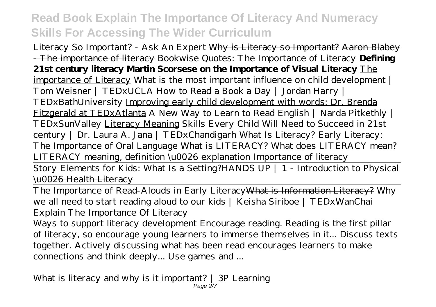*Literacy So Important? - Ask An Expert* Why is Literacy so Important? Aaron Blabey - The importance of literacy *Bookwise Quotes: The Importance of Literacy* **Defining 21st century literacy Martin Scorsese on the Importance of Visual Literacy** The importance of Literacy What is the most important influence on child development | Tom Weisner | TEDxUCLA How to Read a Book a Day | Jordan Harry | TEDxBathUniversity Improving early child development with words: Dr. Brenda Fitzgerald at TEDxAtlanta A New Way to Learn to Read English | Narda Pitkethly | TEDxSunValley Literacy Meaning *Skills Every Child Will Need to Succeed in 21st century | Dr. Laura A. Jana | TEDxChandigarh What Is Literacy? Early Literacy: The Importance of Oral Language What is LITERACY? What does LITERACY mean? LITERACY meaning, definition \u0026 explanation* Importance of literacy

Story Elements for Kids: What Is a Setting? HANDS UP  $+1$  - Introduction to Physical \u0026 Health Literacy

The Importance of Read-Alouds in Early LiteracyWhat is Information Literacy? *Why we all need to start reading aloud to our kids | Keisha Siriboe | TEDxWanChai Explain The Importance Of Literacy*

Ways to support literacy development Encourage reading. Reading is the first pillar of literacy, so encourage young learners to immerse themselves in it... Discuss texts together. Actively discussing what has been read encourages learners to make connections and think deeply... Use games and ...

*What is literacy and why is it important? | 3P Learning* Page 2/7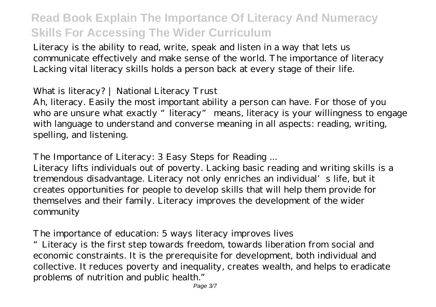Literacy is the ability to read, write, speak and listen in a way that lets us communicate effectively and make sense of the world. The importance of literacy Lacking vital literacy skills holds a person back at every stage of their life.

#### *What is literacy? | National Literacy Trust*

Ah, literacy. Easily the most important ability a person can have. For those of you who are unsure what exactly "literacy" means, literacy is your willingness to engage with language to understand and converse meaning in all aspects: reading, writing, spelling, and listening.

#### *The Importance of Literacy: 3 Easy Steps for Reading ...*

Literacy lifts individuals out of poverty. Lacking basic reading and writing skills is a tremendous disadvantage. Literacy not only enriches an individual's life, but it creates opportunities for people to develop skills that will help them provide for themselves and their family. Literacy improves the development of the wider community

#### *The importance of education: 5 ways literacy improves lives*

"Literacy is the first step towards freedom, towards liberation from social and economic constraints. It is the prerequisite for development, both individual and collective. It reduces poverty and inequality, creates wealth, and helps to eradicate problems of nutrition and public health."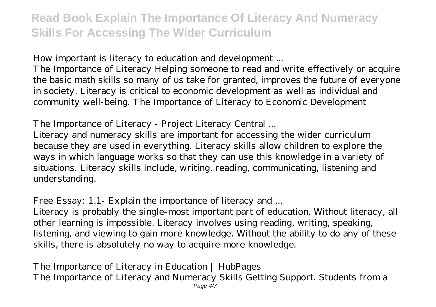### *How important is literacy to education and development ...*

The Importance of Literacy Helping someone to read and write effectively or acquire the basic math skills so many of us take for granted, improves the future of everyone in society. Literacy is critical to economic development as well as individual and community well-being. The Importance of Literacy to Economic Development

### *The Importance of Literacy - Project Literacy Central ...*

Literacy and numeracy skills are important for accessing the wider curriculum because they are used in everything. Literacy skills allow children to explore the ways in which language works so that they can use this knowledge in a variety of situations. Literacy skills include, writing, reading, communicating, listening and understanding.

### *Free Essay: 1.1- Explain the importance of literacy and ...*

Literacy is probably the single-most important part of education. Without literacy, all other learning is impossible. Literacy involves using reading, writing, speaking, listening, and viewing to gain more knowledge. Without the ability to do any of these skills, there is absolutely no way to acquire more knowledge.

### *The Importance of Literacy in Education | HubPages*

The Importance of Literacy and Numeracy Skills Getting Support. Students from a Page 4/7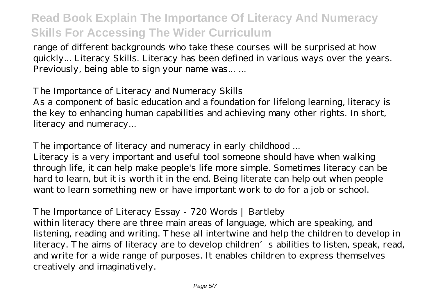range of different backgrounds who take these courses will be surprised at how quickly... Literacy Skills. Literacy has been defined in various ways over the years. Previously, being able to sign your name was... ...

#### *The Importance of Literacy and Numeracy Skills*

As a component of basic education and a foundation for lifelong learning, literacy is the key to enhancing human capabilities and achieving many other rights. In short, literacy and numeracy...

#### *The importance of literacy and numeracy in early childhood ...*

Literacy is a very important and useful tool someone should have when walking through life, it can help make people's life more simple. Sometimes literacy can be hard to learn, but it is worth it in the end. Being literate can help out when people want to learn something new or have important work to do for a job or school.

#### *The Importance of Literacy Essay - 720 Words | Bartleby*

within literacy there are three main areas of language, which are speaking, and listening, reading and writing. These all intertwine and help the children to develop in literacy. The aims of literacy are to develop children's abilities to listen, speak, read, and write for a wide range of purposes. It enables children to express themselves creatively and imaginatively.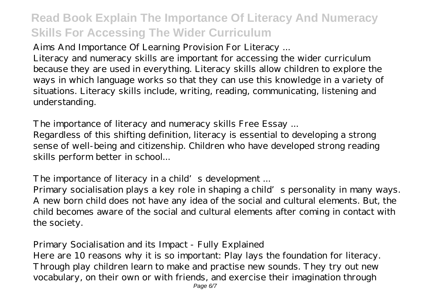### *Aims And Importance Of Learning Provision For Literacy ...*

Literacy and numeracy skills are important for accessing the wider curriculum because they are used in everything. Literacy skills allow children to explore the ways in which language works so that they can use this knowledge in a variety of situations. Literacy skills include, writing, reading, communicating, listening and understanding.

### *The importance of literacy and numeracy skills Free Essay ...*

Regardless of this shifting definition, literacy is essential to developing a strong sense of well-being and citizenship. Children who have developed strong reading skills perform better in school...

### *The importance of literacy in a child's development ...*

Primary socialisation plays a key role in shaping a child's personality in many ways. A new born child does not have any idea of the social and cultural elements. But, the child becomes aware of the social and cultural elements after coming in contact with the society.

### *Primary Socialisation and its Impact - Fully Explained*

Here are 10 reasons why it is so important: Play lays the foundation for literacy. Through play children learn to make and practise new sounds. They try out new vocabulary, on their own or with friends, and exercise their imagination through